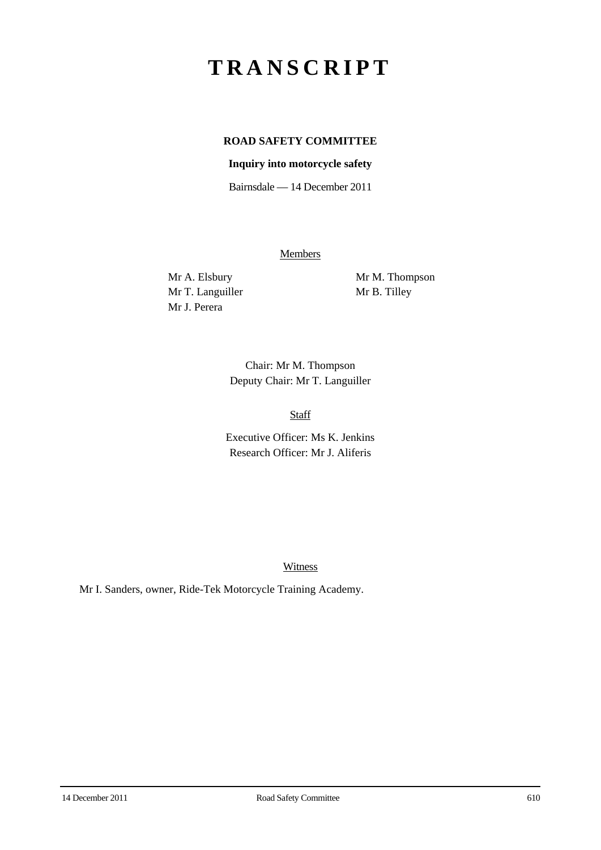# **TRANSCRIPT**

## **ROAD SAFETY COMMITTEE**

#### **Inquiry into motorcycle safety**

Bairnsdale — 14 December 2011

**Members** 

Mr T. Languiller Mr B. Tilley Mr J. Perera

Mr A. Elsbury Mr M. Thompson

Chair: Mr M. Thompson Deputy Chair: Mr T. Languiller

Staff

Executive Officer: Ms K. Jenkins Research Officer: Mr J. Aliferis

**Witness** 

Mr I. Sanders, owner, Ride-Tek Motorcycle Training Academy.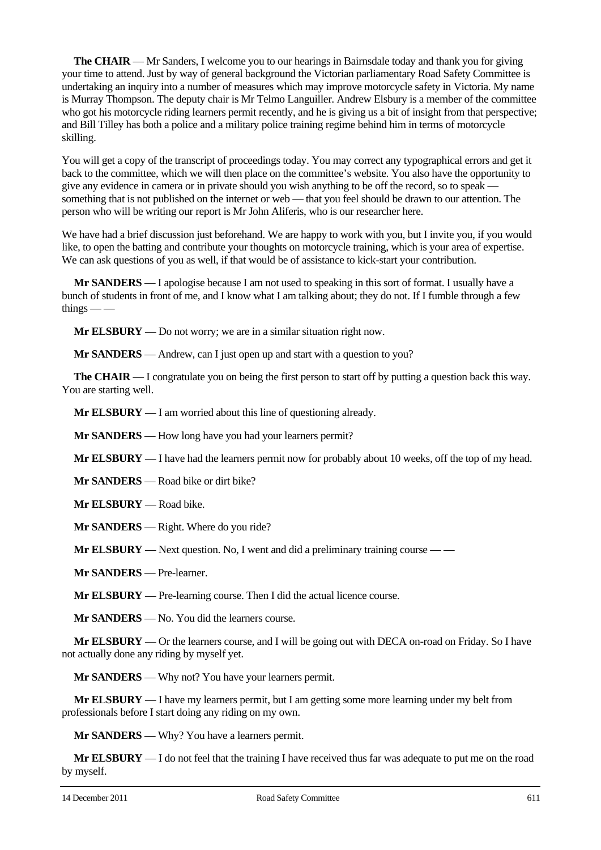**The CHAIR** — Mr Sanders, I welcome you to our hearings in Bairnsdale today and thank you for giving your time to attend. Just by way of general background the Victorian parliamentary Road Safety Committee is undertaking an inquiry into a number of measures which may improve motorcycle safety in Victoria. My name is Murray Thompson. The deputy chair is Mr Telmo Languiller. Andrew Elsbury is a member of the committee who got his motorcycle riding learners permit recently, and he is giving us a bit of insight from that perspective; and Bill Tilley has both a police and a military police training regime behind him in terms of motorcycle skilling.

You will get a copy of the transcript of proceedings today. You may correct any typographical errors and get it back to the committee, which we will then place on the committee's website. You also have the opportunity to give any evidence in camera or in private should you wish anything to be off the record, so to speak something that is not published on the internet or web — that you feel should be drawn to our attention. The person who will be writing our report is Mr John Aliferis, who is our researcher here.

We have had a brief discussion just beforehand. We are happy to work with you, but I invite you, if you would like, to open the batting and contribute your thoughts on motorcycle training, which is your area of expertise. We can ask questions of you as well, if that would be of assistance to kick-start your contribution.

**Mr SANDERS** — I apologise because I am not used to speaking in this sort of format. I usually have a bunch of students in front of me, and I know what I am talking about; they do not. If I fumble through a few  $things$  —  $-$ 

**Mr ELSBURY** — Do not worry; we are in a similar situation right now.

**Mr SANDERS** — Andrew, can I just open up and start with a question to you?

**The CHAIR** — I congratulate you on being the first person to start off by putting a question back this way. You are starting well.

**Mr ELSBURY** — I am worried about this line of questioning already.

**Mr SANDERS** — How long have you had your learners permit?

**Mr ELSBURY** — I have had the learners permit now for probably about 10 weeks, off the top of my head.

**Mr SANDERS** — Road bike or dirt bike?

**Mr ELSBURY** — Road bike.

**Mr SANDERS** — Right. Where do you ride?

**Mr ELSBURY** — Next question. No, I went and did a preliminary training course — —

**Mr SANDERS** — Pre-learner.

**Mr ELSBURY** — Pre-learning course. Then I did the actual licence course.

**Mr SANDERS** — No. You did the learners course.

**Mr ELSBURY** — Or the learners course, and I will be going out with DECA on-road on Friday. So I have not actually done any riding by myself yet.

**Mr SANDERS** — Why not? You have your learners permit.

**Mr ELSBURY** — I have my learners permit, but I am getting some more learning under my belt from professionals before I start doing any riding on my own.

**Mr SANDERS** — Why? You have a learners permit.

**Mr ELSBURY** — I do not feel that the training I have received thus far was adequate to put me on the road by myself.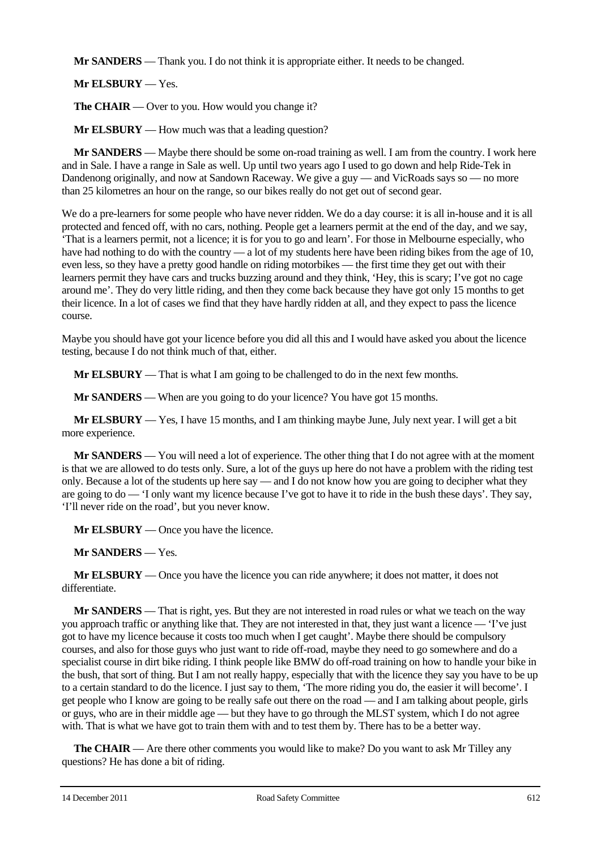**Mr SANDERS** — Thank you. I do not think it is appropriate either. It needs to be changed.

**Mr ELSBURY** — Yes.

**The CHAIR** — Over to you. How would you change it?

**Mr ELSBURY** — How much was that a leading question?

**Mr SANDERS** — Maybe there should be some on-road training as well. I am from the country. I work here and in Sale. I have a range in Sale as well. Up until two years ago I used to go down and help Ride-Tek in Dandenong originally, and now at Sandown Raceway. We give a guy — and VicRoads says so — no more than 25 kilometres an hour on the range, so our bikes really do not get out of second gear.

We do a pre-learners for some people who have never ridden. We do a day course: it is all in-house and it is all protected and fenced off, with no cars, nothing. People get a learners permit at the end of the day, and we say, 'That is a learners permit, not a licence; it is for you to go and learn'. For those in Melbourne especially, who have had nothing to do with the country — a lot of my students here have been riding bikes from the age of 10, even less, so they have a pretty good handle on riding motorbikes — the first time they get out with their learners permit they have cars and trucks buzzing around and they think, 'Hey, this is scary; I've got no cage around me'. They do very little riding, and then they come back because they have got only 15 months to get their licence. In a lot of cases we find that they have hardly ridden at all, and they expect to pass the licence course.

Maybe you should have got your licence before you did all this and I would have asked you about the licence testing, because I do not think much of that, either.

**Mr ELSBURY** — That is what I am going to be challenged to do in the next few months.

**Mr SANDERS** — When are you going to do your licence? You have got 15 months.

**Mr ELSBURY** — Yes, I have 15 months, and I am thinking maybe June, July next year. I will get a bit more experience.

**Mr SANDERS** — You will need a lot of experience. The other thing that I do not agree with at the moment is that we are allowed to do tests only. Sure, a lot of the guys up here do not have a problem with the riding test only. Because a lot of the students up here say — and I do not know how you are going to decipher what they are going to do — 'I only want my licence because I've got to have it to ride in the bush these days'. They say, 'I'll never ride on the road', but you never know.

**Mr ELSBURY** — Once you have the licence.

**Mr SANDERS** — Yes.

**Mr ELSBURY** — Once you have the licence you can ride anywhere; it does not matter, it does not differentiate.

**Mr SANDERS** — That is right, yes. But they are not interested in road rules or what we teach on the way you approach traffic or anything like that. They are not interested in that, they just want a licence — 'I've just got to have my licence because it costs too much when I get caught'. Maybe there should be compulsory courses, and also for those guys who just want to ride off-road, maybe they need to go somewhere and do a specialist course in dirt bike riding. I think people like BMW do off-road training on how to handle your bike in the bush, that sort of thing. But I am not really happy, especially that with the licence they say you have to be up to a certain standard to do the licence. I just say to them, 'The more riding you do, the easier it will become'. I get people who I know are going to be really safe out there on the road — and I am talking about people, girls or guys, who are in their middle age — but they have to go through the MLST system, which I do not agree with. That is what we have got to train them with and to test them by. There has to be a better way.

**The CHAIR** — Are there other comments you would like to make? Do you want to ask Mr Tilley any questions? He has done a bit of riding.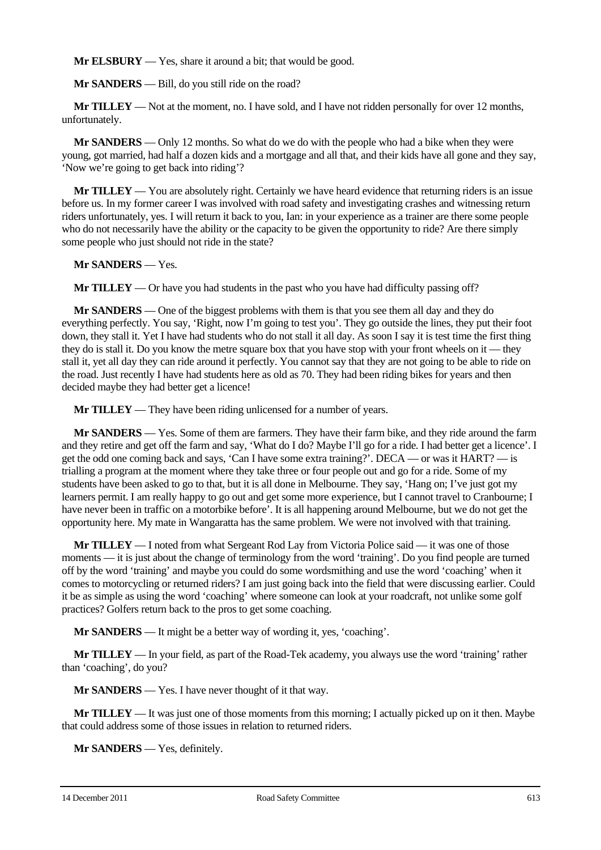**Mr ELSBURY** — Yes, share it around a bit; that would be good.

**Mr SANDERS** — Bill, do you still ride on the road?

**Mr TILLEY** — Not at the moment, no. I have sold, and I have not ridden personally for over 12 months, unfortunately.

**Mr SANDERS** — Only 12 months. So what do we do with the people who had a bike when they were young, got married, had half a dozen kids and a mortgage and all that, and their kids have all gone and they say, 'Now we're going to get back into riding'?

**Mr TILLEY** — You are absolutely right. Certainly we have heard evidence that returning riders is an issue before us. In my former career I was involved with road safety and investigating crashes and witnessing return riders unfortunately, yes. I will return it back to you, Ian: in your experience as a trainer are there some people who do not necessarily have the ability or the capacity to be given the opportunity to ride? Are there simply some people who just should not ride in the state?

**Mr SANDERS** — Yes.

**Mr TILLEY** — Or have you had students in the past who you have had difficulty passing off?

**Mr SANDERS** — One of the biggest problems with them is that you see them all day and they do everything perfectly. You say, 'Right, now I'm going to test you'. They go outside the lines, they put their foot down, they stall it. Yet I have had students who do not stall it all day. As soon I say it is test time the first thing they do is stall it. Do you know the metre square box that you have stop with your front wheels on it — they stall it, yet all day they can ride around it perfectly. You cannot say that they are not going to be able to ride on the road. Just recently I have had students here as old as 70. They had been riding bikes for years and then decided maybe they had better get a licence!

**Mr TILLEY** — They have been riding unlicensed for a number of years.

**Mr SANDERS** — Yes. Some of them are farmers. They have their farm bike, and they ride around the farm and they retire and get off the farm and say, 'What do I do? Maybe I'll go for a ride. I had better get a licence'. I get the odd one coming back and says, 'Can I have some extra training?'. DECA — or was it HART? — is trialling a program at the moment where they take three or four people out and go for a ride. Some of my students have been asked to go to that, but it is all done in Melbourne. They say, 'Hang on; I've just got my learners permit. I am really happy to go out and get some more experience, but I cannot travel to Cranbourne; I have never been in traffic on a motorbike before'. It is all happening around Melbourne, but we do not get the opportunity here. My mate in Wangaratta has the same problem. We were not involved with that training.

**Mr TILLEY** — I noted from what Sergeant Rod Lay from Victoria Police said — it was one of those moments — it is just about the change of terminology from the word 'training'. Do you find people are turned off by the word 'training' and maybe you could do some wordsmithing and use the word 'coaching' when it comes to motorcycling or returned riders? I am just going back into the field that were discussing earlier. Could it be as simple as using the word 'coaching' where someone can look at your roadcraft, not unlike some golf practices? Golfers return back to the pros to get some coaching.

**Mr SANDERS** — It might be a better way of wording it, yes, 'coaching'.

**Mr TILLEY** — In your field, as part of the Road-Tek academy, you always use the word 'training' rather than 'coaching', do you?

**Mr SANDERS** — Yes. I have never thought of it that way.

**Mr TILLEY** — It was just one of those moments from this morning; I actually picked up on it then. Maybe that could address some of those issues in relation to returned riders.

**Mr SANDERS** — Yes, definitely.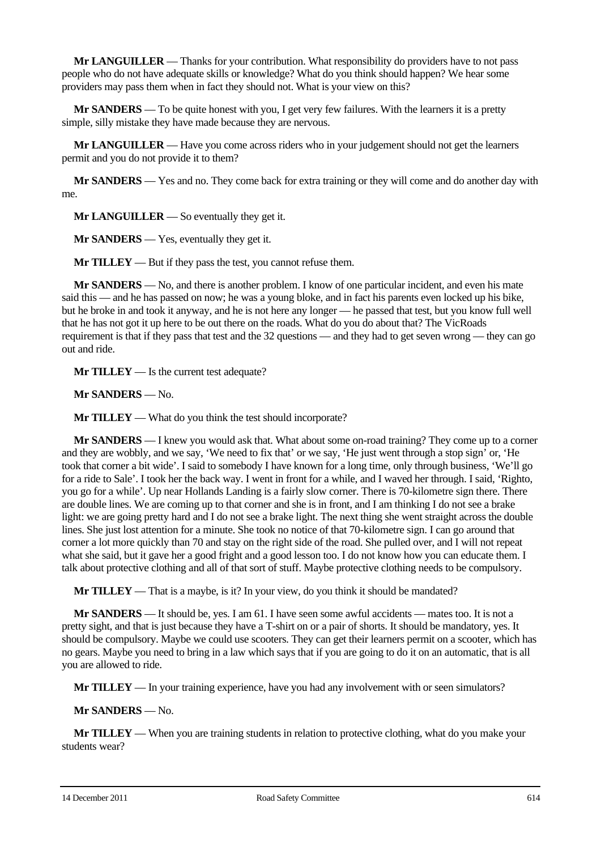**Mr LANGUILLER** — Thanks for your contribution. What responsibility do providers have to not pass people who do not have adequate skills or knowledge? What do you think should happen? We hear some providers may pass them when in fact they should not. What is your view on this?

**Mr SANDERS** — To be quite honest with you, I get very few failures. With the learners it is a pretty simple, silly mistake they have made because they are nervous.

**Mr LANGUILLER** — Have you come across riders who in your judgement should not get the learners permit and you do not provide it to them?

**Mr SANDERS** — Yes and no. They come back for extra training or they will come and do another day with me.

**Mr LANGUILLER** — So eventually they get it.

**Mr SANDERS** — Yes, eventually they get it.

**Mr TILLEY** — But if they pass the test, you cannot refuse them.

**Mr SANDERS** — No, and there is another problem. I know of one particular incident, and even his mate said this — and he has passed on now; he was a young bloke, and in fact his parents even locked up his bike, but he broke in and took it anyway, and he is not here any longer — he passed that test, but you know full well that he has not got it up here to be out there on the roads. What do you do about that? The VicRoads requirement is that if they pass that test and the 32 questions — and they had to get seven wrong — they can go out and ride.

**Mr TILLEY** — Is the current test adequate?

**Mr SANDERS** — No.

**Mr TILLEY** — What do you think the test should incorporate?

**Mr SANDERS** — I knew you would ask that. What about some on-road training? They come up to a corner and they are wobbly, and we say, 'We need to fix that' or we say, 'He just went through a stop sign' or, 'He took that corner a bit wide'. I said to somebody I have known for a long time, only through business, 'We'll go for a ride to Sale'. I took her the back way. I went in front for a while, and I waved her through. I said, 'Righto, you go for a while'. Up near Hollands Landing is a fairly slow corner. There is 70-kilometre sign there. There are double lines. We are coming up to that corner and she is in front, and I am thinking I do not see a brake light: we are going pretty hard and I do not see a brake light. The next thing she went straight across the double lines. She just lost attention for a minute. She took no notice of that 70-kilometre sign. I can go around that corner a lot more quickly than 70 and stay on the right side of the road. She pulled over, and I will not repeat what she said, but it gave her a good fright and a good lesson too. I do not know how you can educate them. I talk about protective clothing and all of that sort of stuff. Maybe protective clothing needs to be compulsory.

**Mr TILLEY** — That is a maybe, is it? In your view, do you think it should be mandated?

**Mr SANDERS** — It should be, yes. I am 61. I have seen some awful accidents — mates too. It is not a pretty sight, and that is just because they have a T-shirt on or a pair of shorts. It should be mandatory, yes. It should be compulsory. Maybe we could use scooters. They can get their learners permit on a scooter, which has no gears. Maybe you need to bring in a law which says that if you are going to do it on an automatic, that is all you are allowed to ride.

**Mr TILLEY** — In your training experience, have you had any involvement with or seen simulators?

**Mr SANDERS** — No.

**Mr TILLEY** — When you are training students in relation to protective clothing, what do you make your students wear?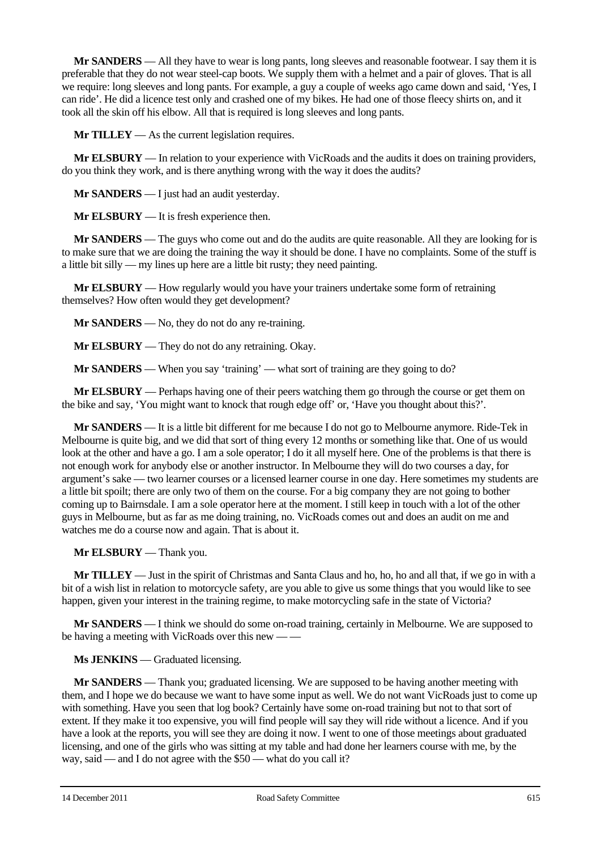**Mr SANDERS** — All they have to wear is long pants, long sleeves and reasonable footwear. I say them it is preferable that they do not wear steel-cap boots. We supply them with a helmet and a pair of gloves. That is all we require: long sleeves and long pants. For example, a guy a couple of weeks ago came down and said, 'Yes, I can ride'. He did a licence test only and crashed one of my bikes. He had one of those fleecy shirts on, and it took all the skin off his elbow. All that is required is long sleeves and long pants.

**Mr TILLEY** — As the current legislation requires.

**Mr ELSBURY** — In relation to your experience with VicRoads and the audits it does on training providers, do you think they work, and is there anything wrong with the way it does the audits?

**Mr SANDERS** — I just had an audit yesterday.

**Mr ELSBURY** — It is fresh experience then.

**Mr SANDERS** — The guys who come out and do the audits are quite reasonable. All they are looking for is to make sure that we are doing the training the way it should be done. I have no complaints. Some of the stuff is a little bit silly — my lines up here are a little bit rusty; they need painting.

**Mr ELSBURY** — How regularly would you have your trainers undertake some form of retraining themselves? How often would they get development?

**Mr SANDERS** — No, they do not do any re-training.

**Mr ELSBURY** — They do not do any retraining. Okay.

**Mr SANDERS** — When you say 'training' — what sort of training are they going to do?

**Mr ELSBURY** — Perhaps having one of their peers watching them go through the course or get them on the bike and say, 'You might want to knock that rough edge off' or, 'Have you thought about this?'.

**Mr SANDERS** — It is a little bit different for me because I do not go to Melbourne anymore. Ride-Tek in Melbourne is quite big, and we did that sort of thing every 12 months or something like that. One of us would look at the other and have a go. I am a sole operator; I do it all myself here. One of the problems is that there is not enough work for anybody else or another instructor. In Melbourne they will do two courses a day, for argument's sake — two learner courses or a licensed learner course in one day. Here sometimes my students are a little bit spoilt; there are only two of them on the course. For a big company they are not going to bother coming up to Bairnsdale. I am a sole operator here at the moment. I still keep in touch with a lot of the other guys in Melbourne, but as far as me doing training, no. VicRoads comes out and does an audit on me and watches me do a course now and again. That is about it.

**Mr ELSBURY** — Thank you.

**Mr TILLEY** — Just in the spirit of Christmas and Santa Claus and ho, ho, ho and all that, if we go in with a bit of a wish list in relation to motorcycle safety, are you able to give us some things that you would like to see happen, given your interest in the training regime, to make motorcycling safe in the state of Victoria?

**Mr SANDERS** — I think we should do some on-road training, certainly in Melbourne. We are supposed to be having a meeting with VicRoads over this new — —

**Ms JENKINS** — Graduated licensing.

**Mr SANDERS** — Thank you; graduated licensing. We are supposed to be having another meeting with them, and I hope we do because we want to have some input as well. We do not want VicRoads just to come up with something. Have you seen that log book? Certainly have some on-road training but not to that sort of extent. If they make it too expensive, you will find people will say they will ride without a licence. And if you have a look at the reports, you will see they are doing it now. I went to one of those meetings about graduated licensing, and one of the girls who was sitting at my table and had done her learners course with me, by the way, said — and I do not agree with the \$50 — what do you call it?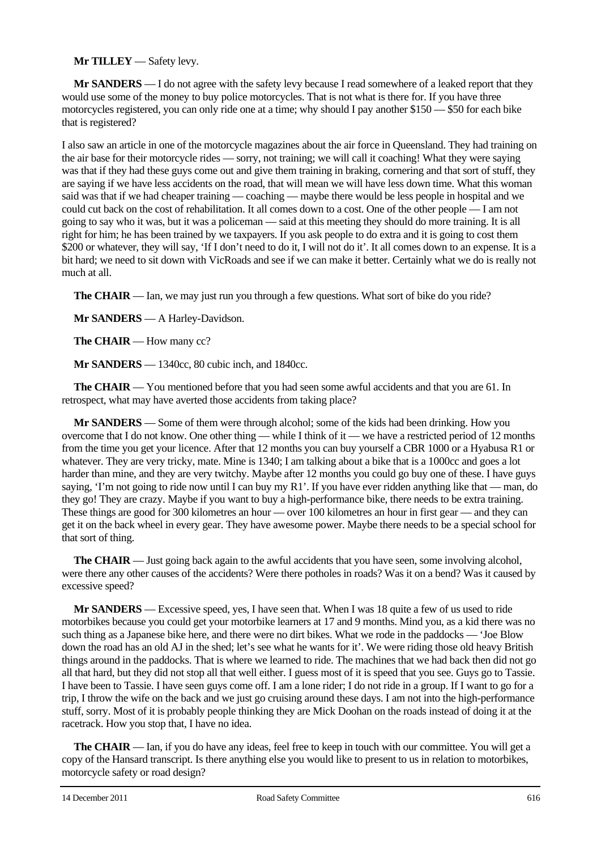#### **Mr TILLEY** — Safety levy.

**Mr SANDERS** — I do not agree with the safety levy because I read somewhere of a leaked report that they would use some of the money to buy police motorcycles. That is not what is there for. If you have three motorcycles registered, you can only ride one at a time; why should I pay another \$150 — \$50 for each bike that is registered?

I also saw an article in one of the motorcycle magazines about the air force in Queensland. They had training on the air base for their motorcycle rides — sorry, not training; we will call it coaching! What they were saying was that if they had these guys come out and give them training in braking, cornering and that sort of stuff, they are saying if we have less accidents on the road, that will mean we will have less down time. What this woman said was that if we had cheaper training — coaching — maybe there would be less people in hospital and we could cut back on the cost of rehabilitation. It all comes down to a cost. One of the other people — I am not going to say who it was, but it was a policeman — said at this meeting they should do more training. It is all right for him; he has been trained by we taxpayers. If you ask people to do extra and it is going to cost them \$200 or whatever, they will say, 'If I don't need to do it, I will not do it'. It all comes down to an expense. It is a bit hard; we need to sit down with VicRoads and see if we can make it better. Certainly what we do is really not much at all.

**The CHAIR** — Ian, we may just run you through a few questions. What sort of bike do you ride?

**Mr SANDERS** — A Harley-Davidson.

**The CHAIR** — How many cc?

**Mr SANDERS** — 1340cc, 80 cubic inch, and 1840cc.

**The CHAIR** — You mentioned before that you had seen some awful accidents and that you are 61. In retrospect, what may have averted those accidents from taking place?

**Mr SANDERS** — Some of them were through alcohol; some of the kids had been drinking. How you overcome that I do not know. One other thing — while I think of it — we have a restricted period of 12 months from the time you get your licence. After that 12 months you can buy yourself a CBR 1000 or a Hyabusa R1 or whatever. They are very tricky, mate. Mine is 1340; I am talking about a bike that is a 1000cc and goes a lot harder than mine, and they are very twitchy. Maybe after 12 months you could go buy one of these. I have guys saying, 'I'm not going to ride now until I can buy my R1'. If you have ever ridden anything like that — man, do they go! They are crazy. Maybe if you want to buy a high-performance bike, there needs to be extra training. These things are good for 300 kilometres an hour — over 100 kilometres an hour in first gear — and they can get it on the back wheel in every gear. They have awesome power. Maybe there needs to be a special school for that sort of thing.

**The CHAIR** — Just going back again to the awful accidents that you have seen, some involving alcohol, were there any other causes of the accidents? Were there potholes in roads? Was it on a bend? Was it caused by excessive speed?

**Mr SANDERS** — Excessive speed, yes, I have seen that. When I was 18 quite a few of us used to ride motorbikes because you could get your motorbike learners at 17 and 9 months. Mind you, as a kid there was no such thing as a Japanese bike here, and there were no dirt bikes. What we rode in the paddocks — 'Joe Blow down the road has an old AJ in the shed; let's see what he wants for it'. We were riding those old heavy British things around in the paddocks. That is where we learned to ride. The machines that we had back then did not go all that hard, but they did not stop all that well either. I guess most of it is speed that you see. Guys go to Tassie. I have been to Tassie. I have seen guys come off. I am a lone rider; I do not ride in a group. If I want to go for a trip, I throw the wife on the back and we just go cruising around these days. I am not into the high-performance stuff, sorry. Most of it is probably people thinking they are Mick Doohan on the roads instead of doing it at the racetrack. How you stop that, I have no idea.

**The CHAIR** — Ian, if you do have any ideas, feel free to keep in touch with our committee. You will get a copy of the Hansard transcript. Is there anything else you would like to present to us in relation to motorbikes, motorcycle safety or road design?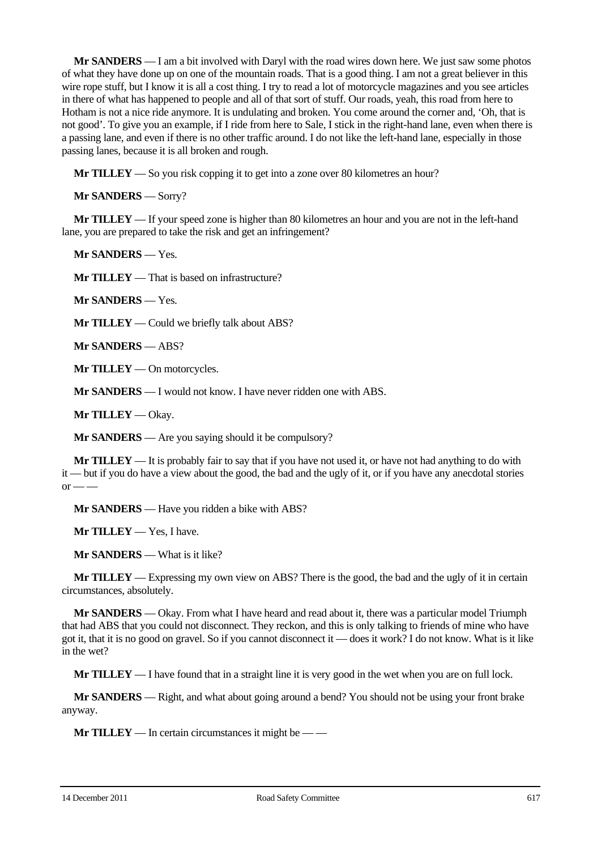**Mr SANDERS** — I am a bit involved with Daryl with the road wires down here. We just saw some photos of what they have done up on one of the mountain roads. That is a good thing. I am not a great believer in this wire rope stuff, but I know it is all a cost thing. I try to read a lot of motorcycle magazines and you see articles in there of what has happened to people and all of that sort of stuff. Our roads, yeah, this road from here to Hotham is not a nice ride anymore. It is undulating and broken. You come around the corner and, 'Oh, that is not good'. To give you an example, if I ride from here to Sale, I stick in the right-hand lane, even when there is a passing lane, and even if there is no other traffic around. I do not like the left-hand lane, especially in those passing lanes, because it is all broken and rough.

**Mr TILLEY** — So you risk copping it to get into a zone over 80 kilometres an hour?

**Mr SANDERS** — Sorry?

**Mr TILLEY** — If your speed zone is higher than 80 kilometres an hour and you are not in the left-hand lane, you are prepared to take the risk and get an infringement?

**Mr SANDERS** — Yes.

**Mr TILLEY** — That is based on infrastructure?

**Mr SANDERS** — Yes.

**Mr TILLEY** — Could we briefly talk about ABS?

**Mr SANDERS** — ABS?

**Mr TILLEY** — On motorcycles.

**Mr SANDERS** — I would not know. I have never ridden one with ABS.

**Mr TILLEY** — Okay.

**Mr SANDERS** — Are you saying should it be compulsory?

**Mr TILLEY** — It is probably fair to say that if you have not used it, or have not had anything to do with it — but if you do have a view about the good, the bad and the ugly of it, or if you have any anecdotal stories  $or$  —

**Mr SANDERS** — Have you ridden a bike with ABS?

**Mr TILLEY** — Yes, I have.

**Mr SANDERS** — What is it like?

**Mr TILLEY** — Expressing my own view on ABS? There is the good, the bad and the ugly of it in certain circumstances, absolutely.

**Mr SANDERS** — Okay. From what I have heard and read about it, there was a particular model Triumph that had ABS that you could not disconnect. They reckon, and this is only talking to friends of mine who have got it, that it is no good on gravel. So if you cannot disconnect it — does it work? I do not know. What is it like in the wet?

**Mr TILLEY** — I have found that in a straight line it is very good in the wet when you are on full lock.

**Mr SANDERS** — Right, and what about going around a bend? You should not be using your front brake anyway.

**Mr TILLEY** — In certain circumstances it might be — —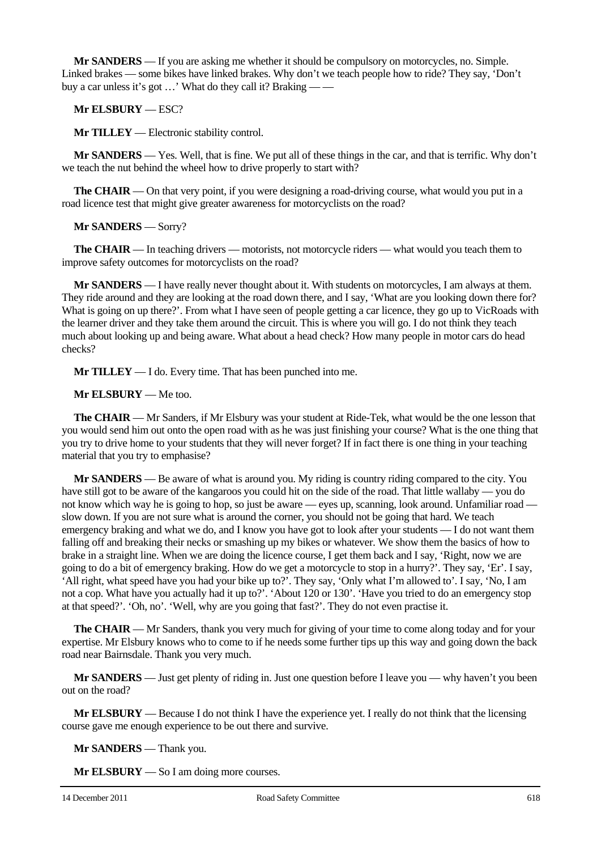**Mr SANDERS** — If you are asking me whether it should be compulsory on motorcycles, no. Simple. Linked brakes — some bikes have linked brakes. Why don't we teach people how to ride? They say, 'Don't buy a car unless it's got …' What do they call it? Braking — —

#### **Mr ELSBURY** — ESC?

**Mr TILLEY** — Electronic stability control.

**Mr SANDERS** — Yes. Well, that is fine. We put all of these things in the car, and that is terrific. Why don't we teach the nut behind the wheel how to drive properly to start with?

**The CHAIR** — On that very point, if you were designing a road-driving course, what would you put in a road licence test that might give greater awareness for motorcyclists on the road?

#### **Mr SANDERS** — Sorry?

**The CHAIR** — In teaching drivers — motorists, not motorcycle riders — what would you teach them to improve safety outcomes for motorcyclists on the road?

**Mr SANDERS** — I have really never thought about it. With students on motorcycles, I am always at them. They ride around and they are looking at the road down there, and I say, 'What are you looking down there for? What is going on up there?'. From what I have seen of people getting a car licence, they go up to VicRoads with the learner driver and they take them around the circuit. This is where you will go. I do not think they teach much about looking up and being aware. What about a head check? How many people in motor cars do head checks?

**Mr TILLEY** — I do. Every time. That has been punched into me.

#### **Mr ELSBURY** — Me too.

**The CHAIR** — Mr Sanders, if Mr Elsbury was your student at Ride-Tek, what would be the one lesson that you would send him out onto the open road with as he was just finishing your course? What is the one thing that you try to drive home to your students that they will never forget? If in fact there is one thing in your teaching material that you try to emphasise?

**Mr SANDERS** — Be aware of what is around you. My riding is country riding compared to the city. You have still got to be aware of the kangaroos you could hit on the side of the road. That little wallaby — you do not know which way he is going to hop, so just be aware — eyes up, scanning, look around. Unfamiliar road slow down. If you are not sure what is around the corner, you should not be going that hard. We teach emergency braking and what we do, and I know you have got to look after your students — I do not want them falling off and breaking their necks or smashing up my bikes or whatever. We show them the basics of how to brake in a straight line. When we are doing the licence course, I get them back and I say, 'Right, now we are going to do a bit of emergency braking. How do we get a motorcycle to stop in a hurry?'. They say, 'Er'. I say, 'All right, what speed have you had your bike up to?'. They say, 'Only what I'm allowed to'. I say, 'No, I am not a cop. What have you actually had it up to?'. 'About 120 or 130'. 'Have you tried to do an emergency stop at that speed?'. 'Oh, no'. 'Well, why are you going that fast?'. They do not even practise it.

**The CHAIR** — Mr Sanders, thank you very much for giving of your time to come along today and for your expertise. Mr Elsbury knows who to come to if he needs some further tips up this way and going down the back road near Bairnsdale. Thank you very much.

**Mr SANDERS** — Just get plenty of riding in. Just one question before I leave you — why haven't you been out on the road?

**Mr ELSBURY** — Because I do not think I have the experience yet. I really do not think that the licensing course gave me enough experience to be out there and survive.

**Mr SANDERS** — Thank you.

**Mr ELSBURY** — So I am doing more courses.